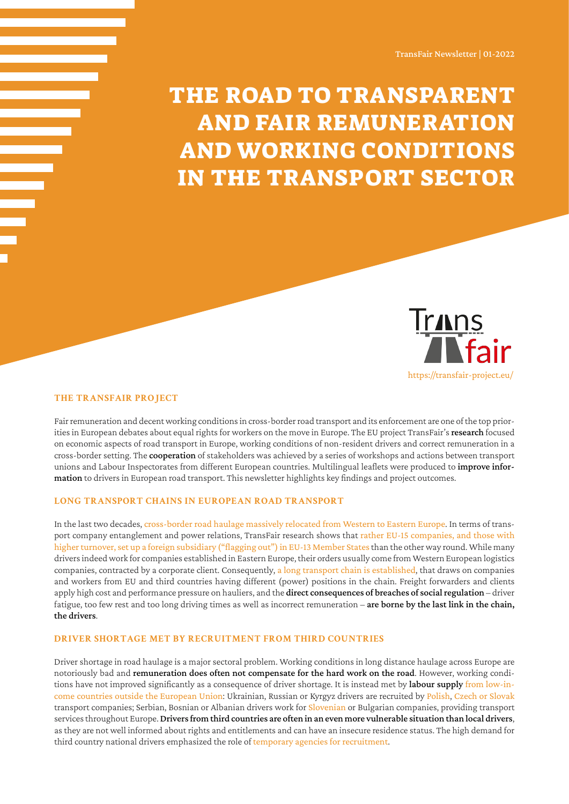# The Road to Transparent and Fair Remuneration and Working Conditions in the Transport Sector



#### **The TransFair project**

Fair remuneration and decent working conditions in cross-border road transport and its enforcement are one of the top priorities in European debates about equal rights for workers on the move in Europe. The EU project TransFair's research focused on economic aspects of road transport in Europe, working conditions of non-resident drivers and correct remuneration in a cross-border setting. The cooperation of stakeholders was achieved by a series of workshops and actions between transport unions and Labour Inspectorates from different European countries. Multilingual leaflets were produced to *improve infor*mation to drivers in European road transport. This newsletter highlights key findings and project outcomes.

#### **Long transport chains in European road transport**

In the last two decades, [cross-border road haulage massively relocated from Western to Eastern Europe](https://transfair-project.eu/wp-content/uploads/2020/12/1st-TransFair-Report-deSmedt_deWispelaere.pdf). In terms of transport company entanglement and power relations, TransFair research shows that [rather EU-15 companies, and those with](https://transfair-project.eu/wp-content/uploads/2021/03/TRANSFAIR_Quanti_Dimension_Transport_EU_EDITED_Feb2021.pdf)  [higher turnover, set up a foreign subsidiary \("flagging out"\) in EU-13 Member States](https://transfair-project.eu/wp-content/uploads/2021/03/TRANSFAIR_Quanti_Dimension_Transport_EU_EDITED_Feb2021.pdf) than the other way round. While many drivers indeed work for companies established in Eastern Europe, their orders usually come from Western European logistics companies, contracted by a corporate client. Consequently, [a long transport chain is established](https://transfair-project.eu/wp-content/uploads/2021/09/TransFair-Cross-border-road-transport-and-Fair-work-AT-SI.pdf), that draws on companies and workers from EU and third countries having different (power) positions in the chain. Freight forwarders and clients apply high cost and performance pressure on hauliers, and the direct consequences of breaches of social regulation – driver fatigue, too few rest and too long driving times as well as incorrect remuneration – are borne by the last link in the chain, the drivers.

# **Driver shortage met by recruitment from third countries**

Driver shortage in road haulage is a major sectoral problem. Working conditions in long distance haulage across Europe are notoriously bad and remuneration does often not compensate for the hard work on the road. However, working conditions have not improved significantly as a consequence of driver shortage. It is instead met by labour supply [from low-in](https://transfair-project.eu/wp-content/uploads/2020/12/1st-TransFair-Report-deSmedt_deWispelaere.pdf)[come countries outside the European Union](https://transfair-project.eu/wp-content/uploads/2020/12/1st-TransFair-Report-deSmedt_deWispelaere.pdf): Ukrainian, Russian or Kyrgyz drivers are recruited by [Polish](https://transfair-project.eu/wp-content/uploads/2021/03/TRANSFAIR_ThirdCountryNationals_PL_EDITED_Feb2021.pdf), [Czech or Slovak](https://transfair-project.eu/wp-content/uploads/2021/03/TRANSFAIR_Third_Country_Nationals_CZ_EDITED_-Feb20201.pdf) transport companies; Serbian, Bosnian or Albanian drivers work for [Slovenian](https://transfair-project.eu/wp-content/uploads/2021/09/TransFair-Cross-border-road-transport-and-Fair-work-AT-SI.pdf) or Bulgarian companies, providing transport services throughout Europe. Drivers from third countries are often in an even more vulnerable situation than local drivers, as they are not well informed about rights and entitlements and can have an insecure residence status. The high demand for third country national drivers emphasized the role of [temporary agencies for recruitment](https://transfair-project.eu/wp-content/uploads/2021/03/TRANSFAIR_ThirdCountryNationals_PL_EDITED_Feb2021.pdf).